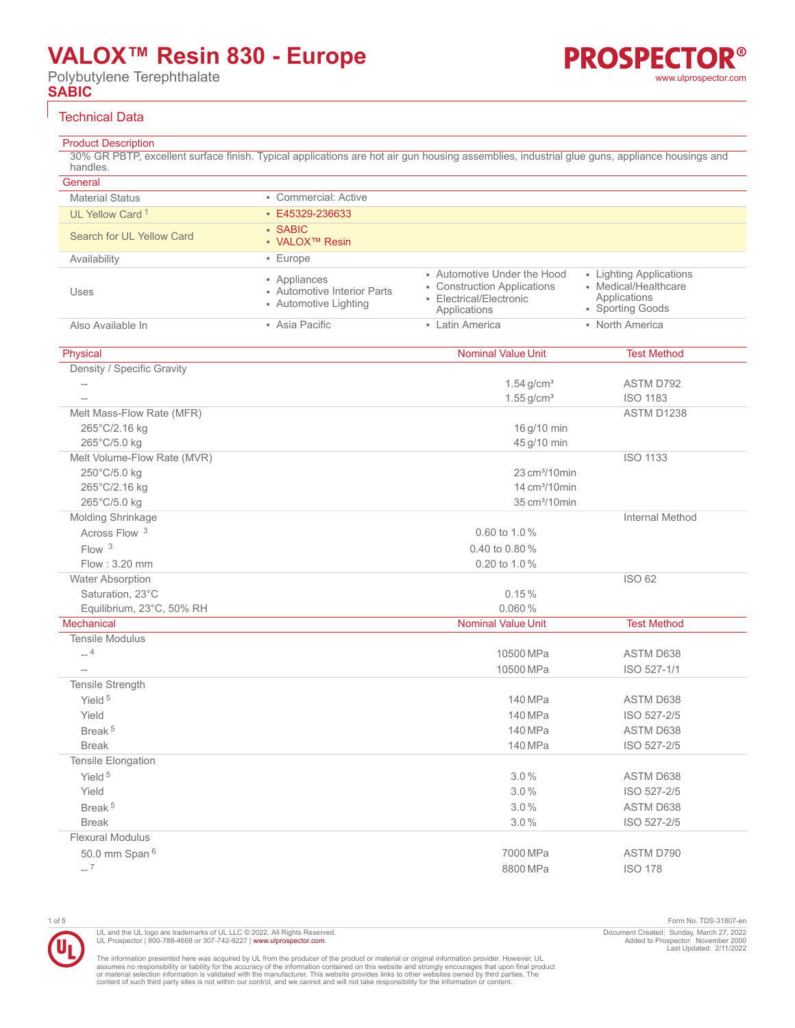Polybutylene Terephthalate **SABIC**

#### Technical Data

### Product Description

30% GR PBTP, excellent surface finish. Typical applications are hot air gun housing assemblies, industrial glue guns, appliance housings and handles.

| General                     |                                                                      |                                                                                                       |                                                                                     |
|-----------------------------|----------------------------------------------------------------------|-------------------------------------------------------------------------------------------------------|-------------------------------------------------------------------------------------|
| <b>Material Status</b>      | • Commercial: Active                                                 |                                                                                                       |                                                                                     |
| UL Yellow Card <sup>1</sup> | • E45329-236633                                                      |                                                                                                       |                                                                                     |
|                             | • SABIC                                                              |                                                                                                       |                                                                                     |
| Search for UL Yellow Card   | • VALOX™ Resin                                                       |                                                                                                       |                                                                                     |
| Availability                | • Europe                                                             |                                                                                                       |                                                                                     |
| Uses                        | • Appliances<br>• Automotive Interior Parts<br>• Automotive Lighting | • Automotive Under the Hood<br>• Construction Applications<br>• Electrical/Electronic<br>Applications | • Lighting Applications<br>• Medical/Healthcare<br>Applications<br>• Sporting Goods |
| Also Available In           | • Asia Pacific                                                       | • Latin America                                                                                       | • North America                                                                     |
| Physical                    |                                                                      | <b>Nominal Value Unit</b>                                                                             | <b>Test Method</b>                                                                  |
| Density / Specific Gravity  |                                                                      |                                                                                                       |                                                                                     |
| $\qquad \qquad -$           |                                                                      | $1.54$ g/cm <sup>3</sup>                                                                              | ASTM D792                                                                           |
| $\overline{a}$              |                                                                      | $1.55$ g/cm <sup>3</sup>                                                                              | <b>ISO 1183</b>                                                                     |
| Melt Mass-Flow Rate (MFR)   |                                                                      |                                                                                                       | ASTM D1238                                                                          |
| 265°C/2.16 kg               |                                                                      | 16 g/10 min                                                                                           |                                                                                     |
| 265°C/5.0 kg                |                                                                      | 45 g/10 min                                                                                           |                                                                                     |
| Melt Volume-Flow Rate (MVR) |                                                                      |                                                                                                       | <b>ISO 1133</b>                                                                     |
| 250°C/5.0 kg                |                                                                      | 23 cm <sup>3</sup> /10min                                                                             |                                                                                     |
| 265°C/2.16 kg               |                                                                      | 14 cm <sup>3</sup> /10 min                                                                            |                                                                                     |
| 265°C/5.0 kg                |                                                                      | 35 cm <sup>3</sup> /10 min                                                                            |                                                                                     |
| Molding Shrinkage           |                                                                      |                                                                                                       | <b>Internal Method</b>                                                              |
| Across Flow <sup>3</sup>    |                                                                      | 0.60 to 1.0%                                                                                          |                                                                                     |
| Flow <sup>3</sup>           |                                                                      | 0.40 to 0.80 $%$                                                                                      |                                                                                     |
| Flow: 3.20 mm               |                                                                      | 0.20 to 1.0%                                                                                          |                                                                                     |
| <b>Water Absorption</b>     |                                                                      |                                                                                                       | <b>ISO 62</b>                                                                       |
| Saturation, 23°C            |                                                                      | 0.15%                                                                                                 |                                                                                     |
| Equilibrium, 23°C, 50% RH   |                                                                      | 0.060%                                                                                                |                                                                                     |
| <b>Mechanical</b>           |                                                                      | <b>Nominal Value Unit</b>                                                                             | <b>Test Method</b>                                                                  |
| <b>Tensile Modulus</b>      |                                                                      |                                                                                                       |                                                                                     |
| $_{-\mathrm{-}}$ 4          |                                                                      | 10500 MPa                                                                                             | <b>ASTM D638</b>                                                                    |
| $\overline{\phantom{a}}$    |                                                                      | 10500 MPa                                                                                             | ISO 527-1/1                                                                         |
| Tensile Strength            |                                                                      |                                                                                                       |                                                                                     |
| Yield <sup>5</sup>          |                                                                      | 140 MPa                                                                                               | <b>ASTM D638</b>                                                                    |
| Yield                       |                                                                      | 140 MPa                                                                                               | ISO 527-2/5                                                                         |
| Break <sup>5</sup>          |                                                                      | 140 MPa                                                                                               | ASTM D638                                                                           |
| <b>Break</b>                |                                                                      | 140 MPa                                                                                               | ISO 527-2/5                                                                         |
| Tensile Elongation          |                                                                      |                                                                                                       |                                                                                     |
| Yield <sup>5</sup>          |                                                                      | 3.0%                                                                                                  | ASTM D638                                                                           |
| Yield                       |                                                                      | 3.0%                                                                                                  | ISO 527-2/5                                                                         |
| Break <sup>5</sup>          |                                                                      | 3.0%                                                                                                  | ASTM D638                                                                           |
| <b>Break</b>                |                                                                      | 3.0%                                                                                                  | ISO 527-2/5                                                                         |
| <b>Flexural Modulus</b>     |                                                                      |                                                                                                       |                                                                                     |
| 50.0 mm Span 6              |                                                                      | 7000 MPa                                                                                              | ASTM D790                                                                           |
| $-7$                        |                                                                      | 8800 MPa                                                                                              | <b>ISO 178</b>                                                                      |



UL and the UL logo are trademarks of UL LLC © 2022. All Rights Reserved. UL Prospector | 800-788-4668 or 307-742-9227 | [www.ulprospector.com](http://www.ulprospector.com).

1 of 5 Form No. TDS-31807-en Document Created: Sunday, March 27, 2022 Added to Prospector: November 2000 Last Updated: 2/11/2022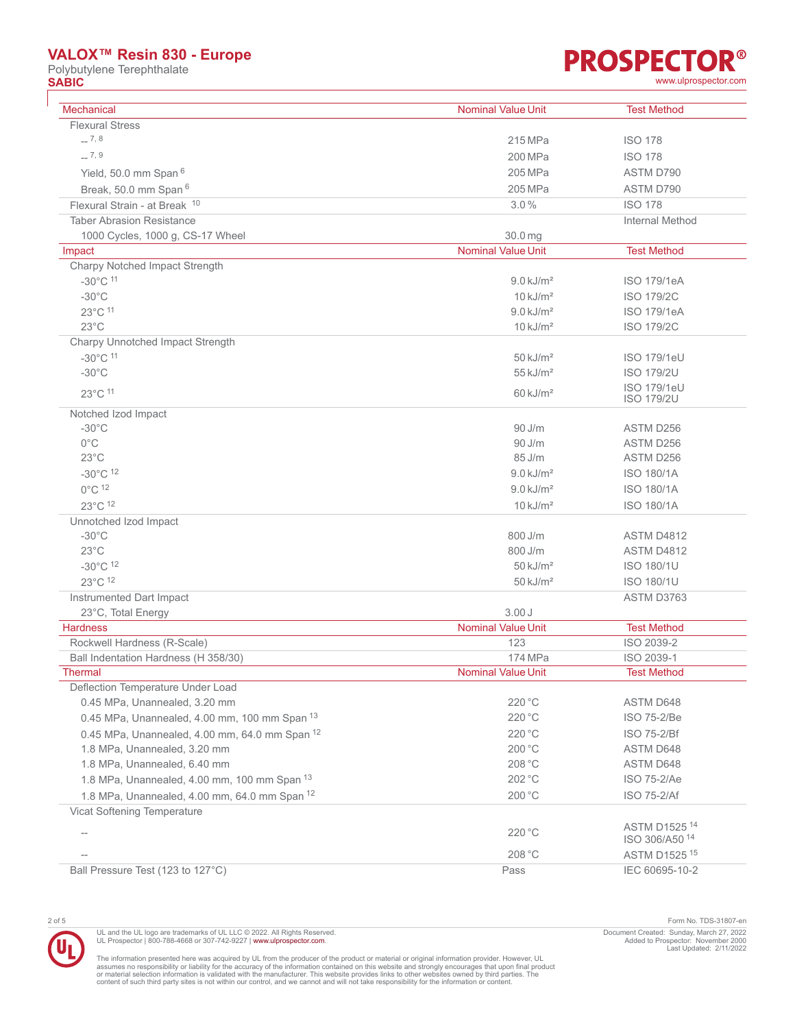Polybutylene Terephthalate<br> **SABIC SABIC** [www.ulprospector.com](http://www.ulprospector.com)

# **PROSPECTOR®**

|  | www.ulprospector.cor |
|--|----------------------|

| <b>Mechanical</b>                              | <b>Nominal Value Unit</b> | <b>Test Method</b>                         |
|------------------------------------------------|---------------------------|--------------------------------------------|
| <b>Flexural Stress</b>                         |                           |                                            |
| $-7,8$                                         | 215 MPa                   | <b>ISO 178</b>                             |
| $-7,9$                                         | 200 MPa                   | <b>ISO 178</b>                             |
| Yield, 50.0 mm Span <sup>6</sup>               | 205 MPa                   | ASTM D790                                  |
| Break, 50.0 mm Span 6                          | 205 MPa                   | ASTM D790                                  |
| Flexural Strain - at Break 10                  | 3.0%                      | <b>ISO 178</b>                             |
| <b>Taber Abrasion Resistance</b>               |                           | Internal Method                            |
| 1000 Cycles, 1000 g, CS-17 Wheel               | 30.0 mg                   |                                            |
| Impact                                         | <b>Nominal Value Unit</b> | <b>Test Method</b>                         |
| Charpy Notched Impact Strength                 |                           |                                            |
| $-30^{\circ}$ C $11$                           | $9.0$ kJ/m <sup>2</sup>   | <b>ISO 179/1eA</b>                         |
| $-30^{\circ}$ C                                | $10 \text{ kJ/m}^2$       | <b>ISO 179/2C</b>                          |
| 23°C 11                                        | $9.0$ kJ/m <sup>2</sup>   | <b>ISO 179/1eA</b>                         |
| $23^{\circ}$ C                                 | $10 \text{ kJ/m}^2$       | <b>ISO 179/2C</b>                          |
| Charpy Unnotched Impact Strength               |                           |                                            |
| $-30^{\circ}$ C 11                             | $50$ kJ/m <sup>2</sup>    | <b>ISO 179/1eU</b>                         |
| $-30^{\circ}$ C                                | $55$ kJ/m <sup>2</sup>    | <b>ISO 179/2U</b>                          |
| 23°C 11                                        | $60 \text{ kJ/m}^2$       | <b>ISO 179/1eU</b><br><b>ISO 179/2U</b>    |
| Notched Izod Impact                            |                           |                                            |
| $-30^{\circ}$ C                                | $90$ J/m                  | ASTM D256                                  |
| $0^{\circ}$ C                                  | 90 J/m                    | ASTM D256                                  |
| $23^{\circ}$ C                                 | 85 J/m                    | ASTM D256                                  |
| $-30^{\circ}$ C $12$                           | $9.0 \text{ kJ/m}^2$      | <b>ISO 180/1A</b>                          |
| $0^{\circ}$ C $12$                             | $9.0$ kJ/m <sup>2</sup>   | <b>ISO 180/1A</b>                          |
| 23°C 12                                        | $10 \text{ kJ/m}^2$       | <b>ISO 180/1A</b>                          |
| Unnotched Izod Impact                          |                           |                                            |
| $-30^{\circ}$ C                                | 800 J/m                   | ASTM D4812                                 |
| $23^{\circ}$ C                                 | 800 J/m                   | ASTM D4812                                 |
| $-30^{\circ}$ C 12                             | $50$ kJ/m <sup>2</sup>    | <b>ISO 180/1U</b>                          |
| 23°C 12                                        | $50$ kJ/m <sup>2</sup>    | <b>ISO 180/1U</b>                          |
| Instrumented Dart Impact                       |                           | ASTM D3763                                 |
| 23°C, Total Energy                             | 3.00J                     |                                            |
| <b>Hardness</b>                                | Nominal Value Unit        | <b>Test Method</b>                         |
| Rockwell Hardness (R-Scale)                    | 123                       | ISO 2039-2                                 |
| Ball Indentation Hardness (H 358/30)           | 174 MPa                   | ISO 2039-1                                 |
| <b>Thermal</b>                                 | <b>Nominal Value Unit</b> | <b>Test Method</b>                         |
| Deflection Temperature Under Load              |                           |                                            |
| 0.45 MPa, Unannealed, 3.20 mm                  | 220 °C                    | ASTM D648                                  |
| 0.45 MPa, Unannealed, 4.00 mm, 100 mm Span 13  | 220 °C                    | ISO 75-2/Be                                |
| 0.45 MPa, Unannealed, 4.00 mm, 64.0 mm Span 12 | 220 °C                    | <b>ISO 75-2/Bf</b>                         |
| 1.8 MPa, Unannealed, 3.20 mm                   | 200 °C                    | ASTM D648                                  |
| 1.8 MPa, Unannealed, 6.40 mm                   | 208 °C                    | ASTM D648                                  |
| 1.8 MPa, Unannealed, 4.00 mm, 100 mm Span 13   | 202 °C                    | ISO 75-2/Ae                                |
| 1.8 MPa, Unannealed, 4.00 mm, 64.0 mm Span 12  | 200 °C                    | ISO 75-2/Af                                |
| Vicat Softening Temperature                    |                           |                                            |
| $\overline{\phantom{a}}$                       | 220 °C                    | ASTM D1525 14<br>ISO 306/A50 <sup>14</sup> |
|                                                | 208 °C                    | ASTM D1525 <sup>15</sup>                   |
| Ball Pressure Test (123 to 127°C)              | Pass                      | IEC 60695-10-2                             |



UL and the UL logo are trademarks of UL LLC © 2022. All Rights Reserved.<br>UL Prospector | 800-788-4668 or 307-742-9227 | [www.ulprospector.com](http://www.ulprospector.com).

2 of 5 Form No. TDS-31807-en Document Created: Sunday, March 27, 2022 Added to Prospector: November 2000 Last Updated: 2/11/2022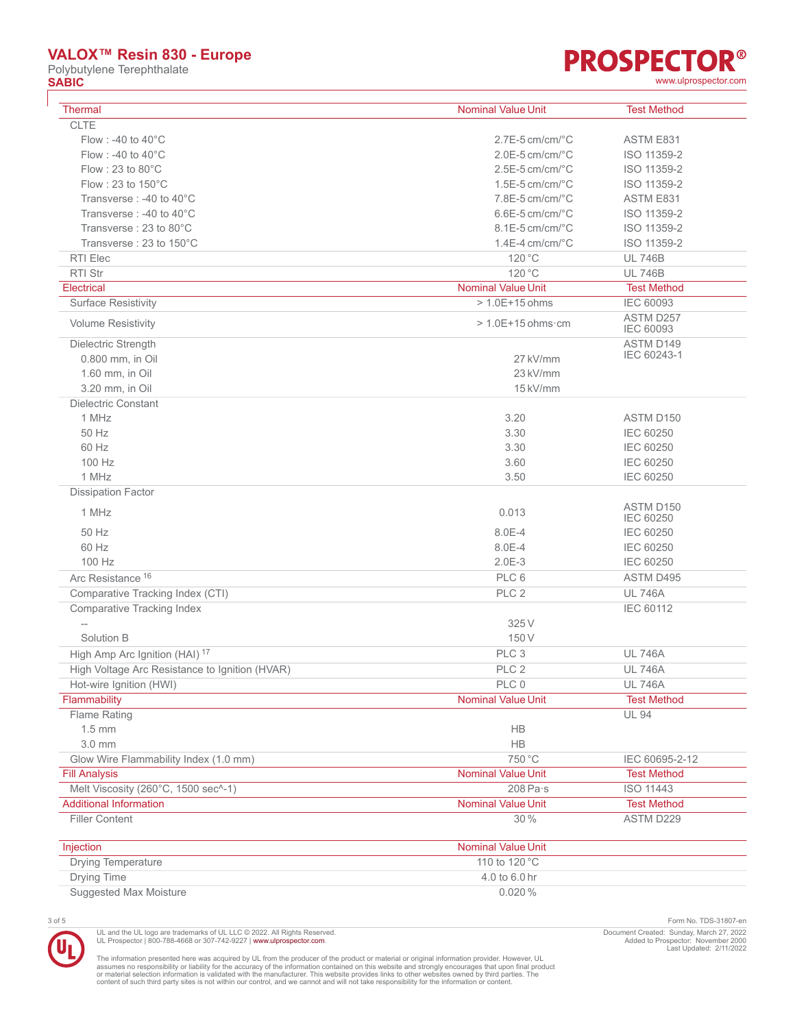Polybutylene Terephthalate<br> **SABIC SABIC** [www.ulprospector.com](http://www.ulprospector.com)

# **PROSPECTOR®**

| <b>Thermal</b>                                 | <b>Nominal Value Unit</b>    | <b>Test Method</b>            |
|------------------------------------------------|------------------------------|-------------------------------|
| <b>CLTE</b>                                    |                              |                               |
| Flow: -40 to 40°C                              | $2.7E-5$ cm/cm/ $°C$         | ASTM E831                     |
| Flow : -40 to $40^{\circ}$ C                   | $2.0E-5$ cm/cm/ $°C$         | ISO 11359-2                   |
| Flow: 23 to $80^{\circ}$ C                     | $2.5E-5$ cm/cm/ $°C$         | ISO 11359-2                   |
| Flow: 23 to $150^{\circ}$ C                    | $1.5E-5$ cm/cm/ $°C$         | ISO 11359-2                   |
| Transverse: -40 to 40°C                        | $7.8E-5$ cm/cm/ $^{\circ}$ C | ASTM E831                     |
| Transverse: -40 to 40°C                        | $6.6E-5$ cm/cm/ $°C$         | ISO 11359-2                   |
| Transverse: 23 to 80°C                         | $8.1E-5$ cm/cm/ $°C$         | ISO 11359-2                   |
| Transverse: 23 to 150°C                        | $1.4E-4$ cm/cm/ $°C$         | ISO 11359-2                   |
| RTI Elec                                       | 120 °C                       | <b>UL 746B</b>                |
| RTI Str                                        | 120 °C                       | <b>UL 746B</b>                |
| Electrical                                     | <b>Nominal Value Unit</b>    | <b>Test Method</b>            |
| <b>Surface Resistivity</b>                     | $> 1.0E + 15$ ohms           | <b>IEC 60093</b>              |
|                                                |                              | ASTM D257                     |
| <b>Volume Resistivity</b>                      | $> 1.0E + 15$ ohms cm        | <b>IEC 60093</b>              |
| Dielectric Strength                            |                              | ASTM D149                     |
| 0.800 mm, in Oil                               | 27 kV/mm                     | IEC 60243-1                   |
| 1.60 mm, in Oil                                | 23 kV/mm                     |                               |
| 3.20 mm, in Oil                                | 15 kV/mm                     |                               |
| <b>Dielectric Constant</b>                     |                              |                               |
| 1 MHz                                          | 3.20                         | ASTM D150                     |
| 50 Hz                                          | 3.30                         | IEC 60250                     |
| 60 Hz                                          | 3.30                         | <b>IEC 60250</b>              |
| 100 Hz                                         | 3.60                         | IEC 60250                     |
| 1 MHz                                          | 3.50                         | <b>IEC 60250</b>              |
| <b>Dissipation Factor</b>                      |                              |                               |
| 1 MHz                                          | 0.013                        | ASTM D150<br><b>IEC 60250</b> |
| 50 Hz                                          | 8.0E-4                       | IEC 60250                     |
| 60 Hz                                          | 8.0E-4                       | <b>IEC 60250</b>              |
| 100 Hz                                         | $2.0E-3$                     | <b>IEC 60250</b>              |
| Arc Resistance <sup>16</sup>                   | PLC 6                        | ASTM D495                     |
| Comparative Tracking Index (CTI)               | PLC <sub>2</sub>             | <b>UL 746A</b>                |
| <b>Comparative Tracking Index</b>              |                              | IEC 60112                     |
| $-\!$                                          | 325 V                        |                               |
| Solution B                                     | 150 V                        |                               |
| High Amp Arc Ignition (HAI) <sup>17</sup>      | PLC <sub>3</sub>             | <b>UL 746A</b>                |
| High Voltage Arc Resistance to Ignition (HVAR) | PLC <sub>2</sub>             | <b>UL 746A</b>                |
| Hot-wire Ignition (HWI)                        | PLC 0                        | <b>UL 746A</b>                |
| Flammability                                   | <b>Nominal Value Unit</b>    | <b>Test Method</b>            |
| Flame Rating                                   |                              | <b>UL 94</b>                  |
| $1.5 \text{ mm}$                               | HB                           |                               |
| 3.0 mm                                         | <b>HB</b>                    |                               |
| Glow Wire Flammability Index (1.0 mm)          | 750 °C                       | IEC 60695-2-12                |
| <b>Fill Analysis</b>                           | <b>Nominal Value Unit</b>    | <b>Test Method</b>            |
| Melt Viscosity (260°C, 1500 sec^-1)            | $208$ Pa $\cdot$ s           | <b>ISO 11443</b>              |
| <b>Additional Information</b>                  | <b>Nominal Value Unit</b>    | <b>Test Method</b>            |
| <b>Filler Content</b>                          | 30 %                         | ASTM D229                     |
|                                                |                              |                               |
| Injection                                      | <b>Nominal Value Unit</b>    |                               |
| <b>Drying Temperature</b>                      | 110 to 120 °C                |                               |
| Drying Time                                    | 4.0 to 6.0 hr                |                               |

UL and the UL logo are trademarks of UL LLC © 2022. All Rights Reserved.<br>UL Prospector | 800-788-4668 or 307-742-9227 | [www.ulprospector.com](http://www.ulprospector.com).

3 of 5 Form No. TDS-31807-en Document Created: Sunday, March 27, 2022 Added to Prospector: November 2000 Last Updated: 2/11/2022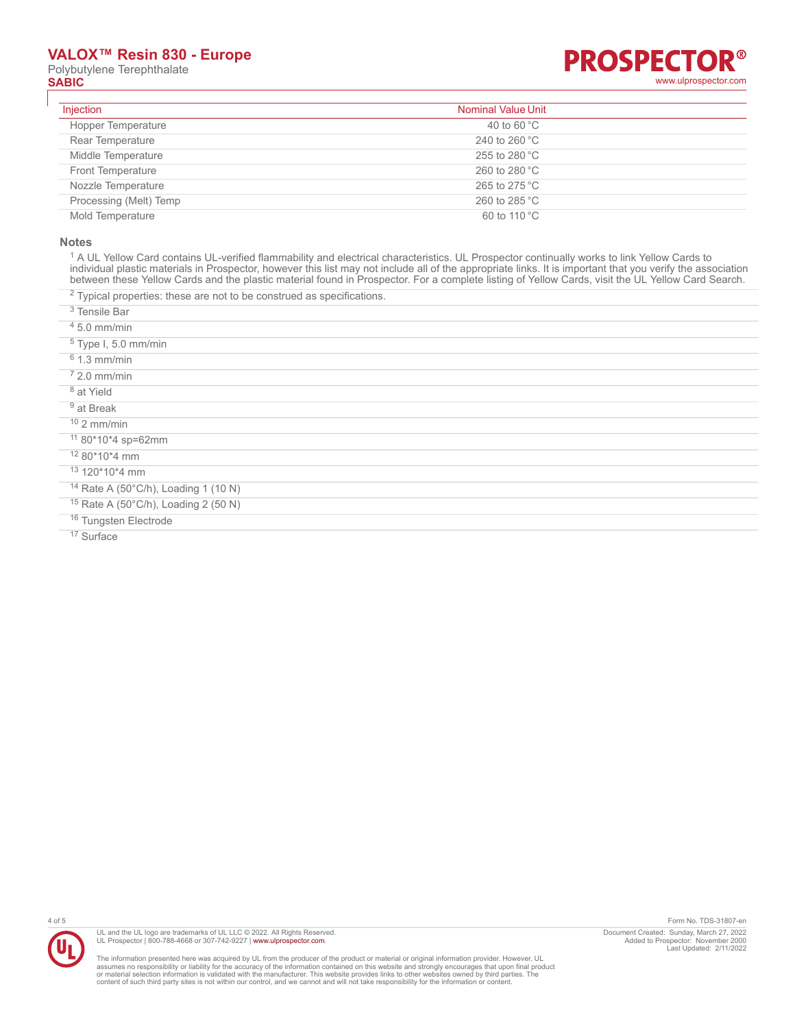Polybutylene Terephthalate<br>
SABIC



| Injection                 | <b>Nominal Value Unit</b> |
|---------------------------|---------------------------|
| <b>Hopper Temperature</b> | 40 to 60 $^{\circ}$ C     |
| Rear Temperature          | 240 to 260 $^{\circ}$ C   |
| Middle Temperature        | 255 to 280 $^{\circ}$ C   |
| Front Temperature         | 260 to 280 °C             |
| Nozzle Temperature        | 265 to 275 °C             |
| Processing (Melt) Temp    | 260 to 285 °C             |
| Mold Temperature          | 60 to 110 °C              |

#### **Notes**

<sup>1</sup> A UL Yellow Card contains UL-verified flammability and electrical characteristics. UL Prospector continually works to link Yellow Cards to individual plastic materials in Prospector, however this list may not include all of the appropriate links. It is important that you verify the association between these Yellow Cards and the plastic material found in Prospector. For a complete listing of Yellow Cards, visit the UL Yellow Card Search.

 $2$  Typical properties: these are not to be construed as specifications.

3 Tensile Bar

4 5.0 mm/min

- 5 Type I, 5.0 mm/min
- 6 1.3 mm/min
- 7 2.0 mm/min
- <sup>8</sup> at Yield
- <sup>9</sup> at Break
- $10$  2 mm/min
- <sup>11</sup> 80\*10\*4 sp=62mm
- <sup>12</sup> 80\*10\*4 mm
- <sup>13</sup> 120\*10\*4 mm
- <sup>14</sup> Rate A (50°C/h), Loading 1 (10 N)
- <sup>15</sup> Rate A (50°C/h), Loading 2 (50 N)
- 16 Tungsten Electrode

<sup>17</sup> Surface



UL and the UL logo are trademarks of UL LLC © 2022. All Rights Reserved. UL Prospector | 800-788-4668 or 307-742-9227 | [www.ulprospector.com](http://www.ulprospector.com).